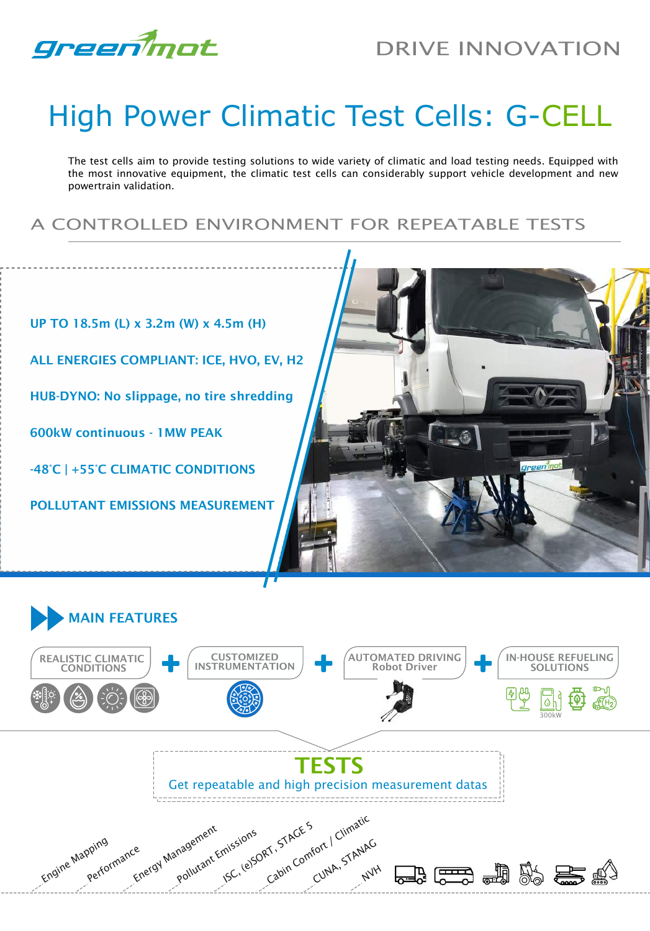

## High Power Climatic Test Cells: G-CELL

The test cells aim to provide testing solutions to wide variety of climatic and load testing needs. Equipped with the most innovative equipment, the climatic test cells can considerably support vehicle development and new powertrain validation.

A CONTROLLED ENVIRONMENT FOR REPEATABLE TESTS